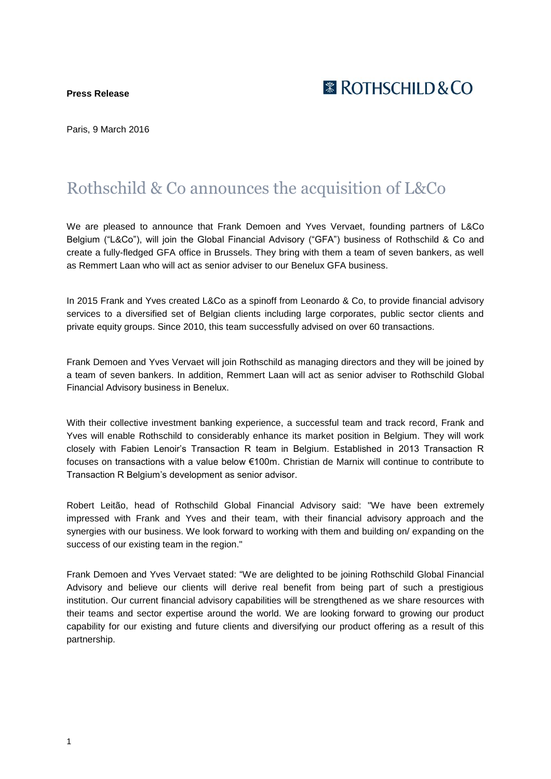**Press Release**

 $\mathbb X$  ROTHSCHII D&CO

Paris, 9 March 2016

# Rothschild & Co announces the acquisition of L&Co

We are pleased to announce that Frank Demoen and Yves Vervaet, founding partners of L&Co Belgium ("L&Co"), will join the Global Financial Advisory ("GFA") business of Rothschild & Co and create a fully-fledged GFA office in Brussels. They bring with them a team of seven bankers, as well as Remmert Laan who will act as senior adviser to our Benelux GFA business.

In 2015 Frank and Yves created L&Co as a spinoff from Leonardo & Co, to provide financial advisory services to a diversified set of Belgian clients including large corporates, public sector clients and private equity groups. Since 2010, this team successfully advised on over 60 transactions.

Frank Demoen and Yves Vervaet will join Rothschild as managing directors and they will be joined by a team of seven bankers. In addition, Remmert Laan will act as senior adviser to Rothschild Global Financial Advisory business in Benelux.

With their collective investment banking experience, a successful team and track record, Frank and Yves will enable Rothschild to considerably enhance its market position in Belgium. They will work closely with Fabien Lenoir's Transaction R team in Belgium. Established in 2013 Transaction R focuses on transactions with a value below €100m. Christian de Marnix will continue to contribute to Transaction R Belgium's development as senior advisor.

Robert Leitão, head of Rothschild Global Financial Advisory said: "We have been extremely impressed with Frank and Yves and their team, with their financial advisory approach and the synergies with our business. We look forward to working with them and building on/ expanding on the success of our existing team in the region."

Frank Demoen and Yves Vervaet stated: "We are delighted to be joining Rothschild Global Financial Advisory and believe our clients will derive real benefit from being part of such a prestigious institution. Our current financial advisory capabilities will be strengthened as we share resources with their teams and sector expertise around the world. We are looking forward to growing our product capability for our existing and future clients and diversifying our product offering as a result of this partnership.